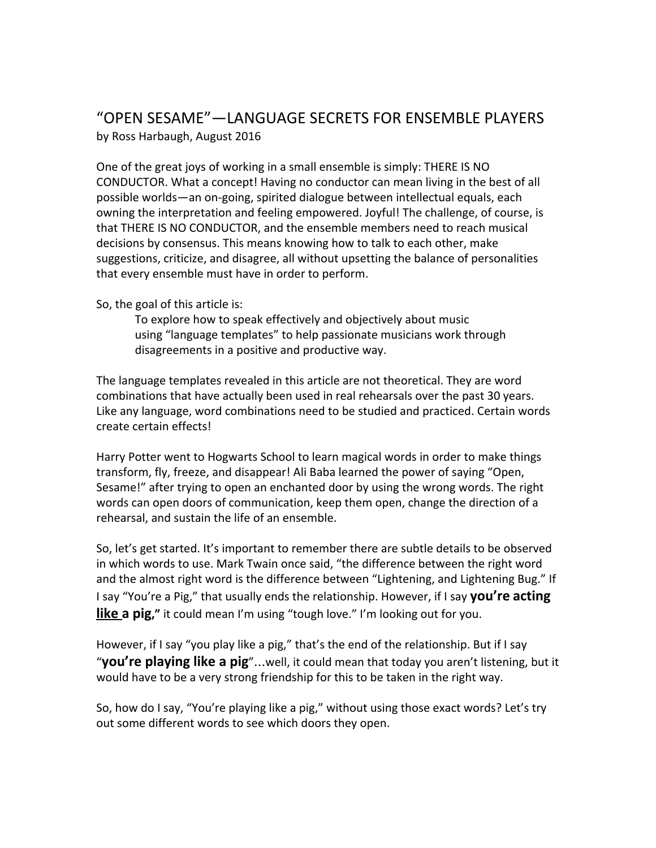# "OPEN SESAME"—LANGUAGE SECRETS FOR ENSEMBLE PLAYERS by Ross Harbaugh, August 2016

One of the great joys of working in a small ensemble is simply: THERE IS NO CONDUCTOR. What a concept! Having no conductor can mean living in the best of all possible worlds—an on-going, spirited dialogue between intellectual equals, each owning the interpretation and feeling empowered. Joyful! The challenge, of course, is that THERE IS NO CONDUCTOR, and the ensemble members need to reach musical decisions by consensus. This means knowing how to talk to each other, make suggestions, criticize, and disagree, all without upsetting the balance of personalities that every ensemble must have in order to perform.

So, the goal of this article is:

To explore how to speak effectively and objectively about music using "language templates" to help passionate musicians work through disagreements in a positive and productive way.

The language templates revealed in this article are not theoretical. They are word combinations that have actually been used in real rehearsals over the past 30 years. Like any language, word combinations need to be studied and practiced. Certain words create certain effects!

Harry Potter went to Hogwarts School to learn magical words in order to make things transform, fly, freeze, and disappear! Ali Baba learned the power of saying "Open, Sesame!" after trying to open an enchanted door by using the wrong words. The right words can open doors of communication, keep them open, change the direction of a rehearsal, and sustain the life of an ensemble.

So, let's get started. It's important to remember there are subtle details to be observed in which words to use. Mark Twain once said, "the difference between the right word and the almost right word is the difference between "Lightening, and Lightening Bug." If I say "You're a Pig," that usually ends the relationship. However, if I say **you're acting like a pig,"** it could mean I'm using "tough love." I'm looking out for you.

However, if I say "you play like a pig," that's the end of the relationship. But if I say "**you're playing like a pig**"…well, it could mean that today you aren't listening, but it would have to be a very strong friendship for this to be taken in the right way.

So, how do I say, "You're playing like a pig," without using those exact words? Let's try out some different words to see which doors they open.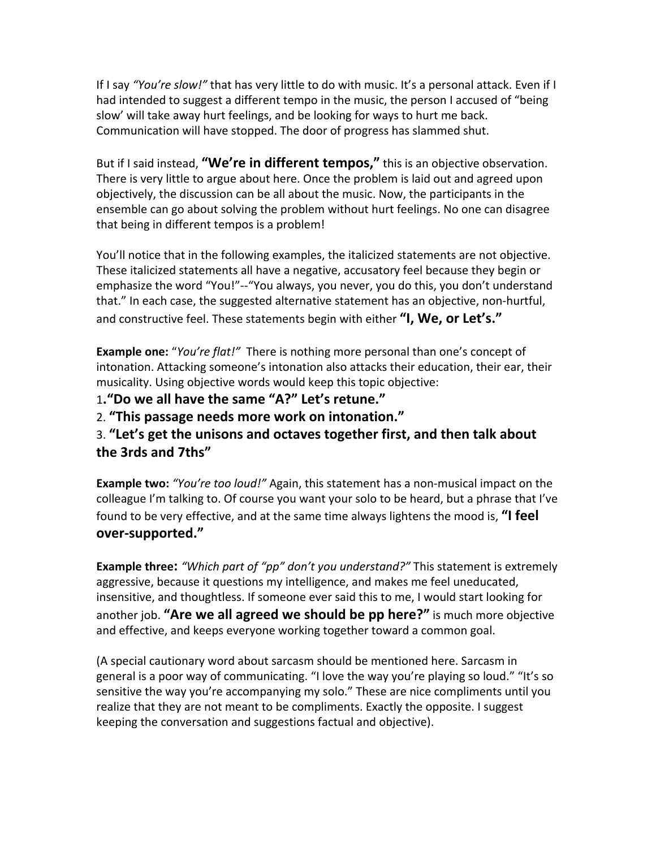If I say *"You're slow!"* that has very little to do with music. It's a personal attack. Even if I had intended to suggest a different tempo in the music, the person I accused of "being slow' will take away hurt feelings, and be looking for ways to hurt me back. Communication will have stopped. The door of progress has slammed shut.

But if I said instead, **"We're in different tempos,"** this is an objective observation. There is very little to argue about here. Once the problem is laid out and agreed upon objectively, the discussion can be all about the music. Now, the participants in the ensemble can go about solving the problem without hurt feelings. No one can disagree that being in different tempos is a problem!

You'll notice that in the following examples, the italicized statements are not objective. These italicized statements all have a negative, accusatory feel because they begin or emphasize the word "You!"--"You always, you never, you do this, you don't understand that." In each case, the suggested alternative statement has an objective, non-hurtful, and constructive feel. These statements begin with either **"I, We, or Let's."**

**Example one:** "*You're flat!"* There is nothing more personal than one's concept of intonation. Attacking someone's intonation also attacks their education, their ear, their musicality. Using objective words would keep this topic objective:

1**."Do we all have the same "A?" Let's retune."**

2. **"This passage needs more work on intonation."**

3. **"Let's get the unisons and octaves together first, and then talk about the 3rds and 7ths"**

**Example two:** *"You're too loud!"* Again, this statement has a non-musical impact on the colleague I'm talking to. Of course you want your solo to be heard, but a phrase that I've found to be very effective, and at the same time always lightens the mood is, **"I feel over-supported."**

**Example three:** *"Which part of "pp" don't you understand?"* This statement is extremely aggressive, because it questions my intelligence, and makes me feel uneducated, insensitive, and thoughtless. If someone ever said this to me, I would start looking for another job. **"Are we all agreed we should be pp here?"** is much more objective and effective, and keeps everyone working together toward a common goal.

(A special cautionary word about sarcasm should be mentioned here. Sarcasm in general is a poor way of communicating. "I love the way you're playing so loud." "It's so sensitive the way you're accompanying my solo." These are nice compliments until you realize that they are not meant to be compliments. Exactly the opposite. I suggest keeping the conversation and suggestions factual and objective).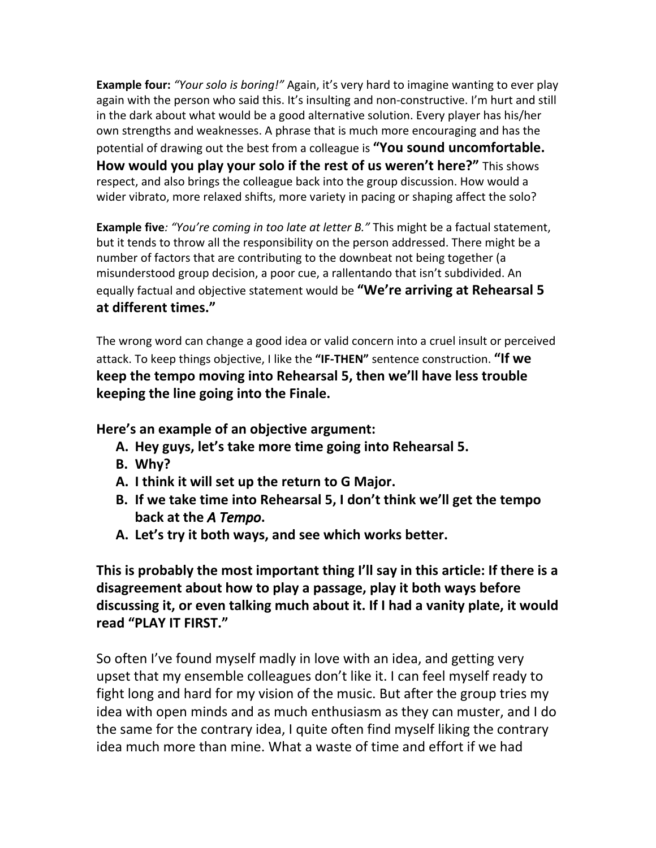**Example four:** *"Your solo is boring!"* Again, it's very hard to imagine wanting to ever play again with the person who said this. It's insulting and non-constructive. I'm hurt and still in the dark about what would be a good alternative solution. Every player has his/her own strengths and weaknesses. A phrase that is much more encouraging and has the potential of drawing out the best from a colleague is **"You sound uncomfortable. How would you play your solo if the rest of us weren't here?"** This shows respect, and also brings the colleague back into the group discussion. How would a wider vibrato, more relaxed shifts, more variety in pacing or shaping affect the solo?

**Example five***: "You're coming in too late at letter B."* This might be a factual statement, but it tends to throw all the responsibility on the person addressed. There might be a number of factors that are contributing to the downbeat not being together (a misunderstood group decision, a poor cue, a rallentando that isn't subdivided. An equally factual and objective statement would be **"We're arriving at Rehearsal 5 at different times."**

The wrong word can change a good idea or valid concern into a cruel insult or perceived attack. To keep things objective, I like the **"IF-THEN"** sentence construction. **"If we keep the tempo moving into Rehearsal 5, then we'll have less trouble keeping the line going into the Finale.**

**Here's an example of an objective argument:**

- **A. Hey guys, let's take more time going into Rehearsal 5.**
- **B. Why?**
- **A. I think it will set up the return to G Major.**
- **B. If we take time into Rehearsal 5, I don't think we'll get the tempo back at the** *A Tempo***.**
- **A. Let's try it both ways, and see which works better.**

**This is probably the most important thing I'll say in this article: If there is a disagreement about how to play a passage, play it both ways before discussing it, or even talking much about it. If I had a vanity plate, it would read "PLAY IT FIRST."**

So often I've found myself madly in love with an idea, and getting very upset that my ensemble colleagues don't like it. I can feel myself ready to fight long and hard for my vision of the music. But after the group tries my idea with open minds and as much enthusiasm as they can muster, and I do the same for the contrary idea, I quite often find myself liking the contrary idea much more than mine. What a waste of time and effort if we had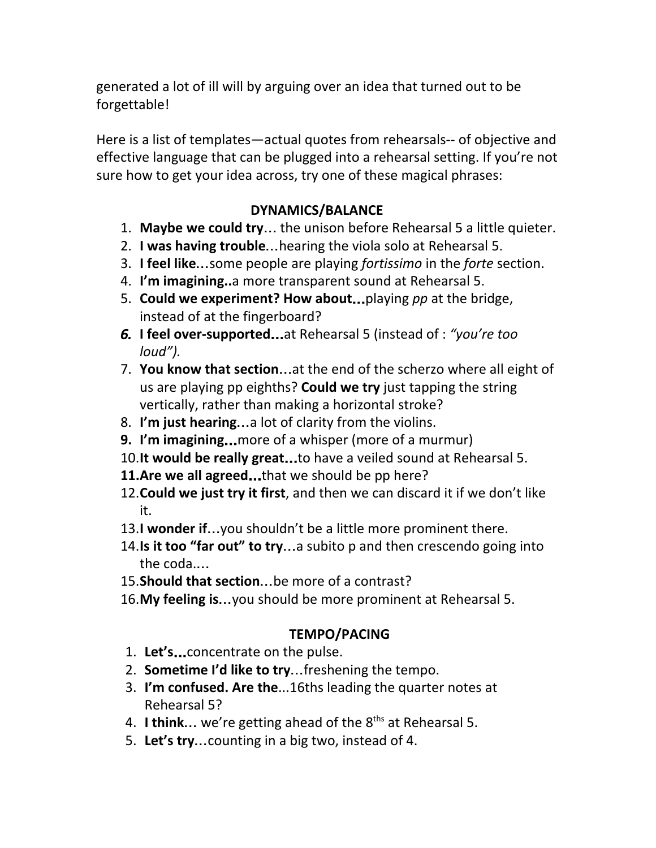generated a lot of ill will by arguing over an idea that turned out to be forgettable!

Here is a list of templates—actual quotes from rehearsals-- of objective and effective language that can be plugged into a rehearsal setting. If you're not sure how to get your idea across, try one of these magical phrases:

# **DYNAMICS/BALANCE**

- 1. **Maybe we could try**… the unison before Rehearsal 5 a little quieter.
- 2. **I was having trouble**…hearing the viola solo at Rehearsal 5.
- 3. **I feel like**…some people are playing *fortissimo* in the *forte* section.
- 4. **I'm imagining..**a more transparent sound at Rehearsal 5.
- 5. **Could we experiment? How about**…playing *pp* at the bridge, instead of at the fingerboard?
- *6.* **I feel over-supported**…at Rehearsal 5 (instead of : *"you're too loud").*
- 7. **You know that section**…at the end of the scherzo where all eight of us are playing pp eighths? **Could we try** just tapping the string vertically, rather than making a horizontal stroke?
- 8. **I'm just hearing**…a lot of clarity from the violins.
- **9. I'm imagining**…more of a whisper (more of a murmur)
- 10.**It** would be really great...to have a veiled sound at Rehearsal 5.
- **11.Are we all agreed**…that we should be pp here?
- 12.**Could we just try it first**, and then we can discard it if we don't like it.
- 13.**I wonder if**…you shouldn't be a little more prominent there.
- 14.**Is it too "far out" to try**…a subito p and then crescendo going into the coda.…
- 15.**Should that section**…be more of a contrast?
- 16.**My feeling is**…you should be more prominent at Rehearsal 5.

# **TEMPO/PACING**

- 1. **Let's**…concentrate on the pulse.
- 2. **Sometime I'd like to try**…freshening the tempo.
- 3. **I'm confused. Are the**...16ths leading the quarter notes at Rehearsal 5?
- 4. I **think...** we're getting ahead of the 8<sup>ths</sup> at Rehearsal 5.
- 5. **Let's try**…counting in a big two, instead of 4.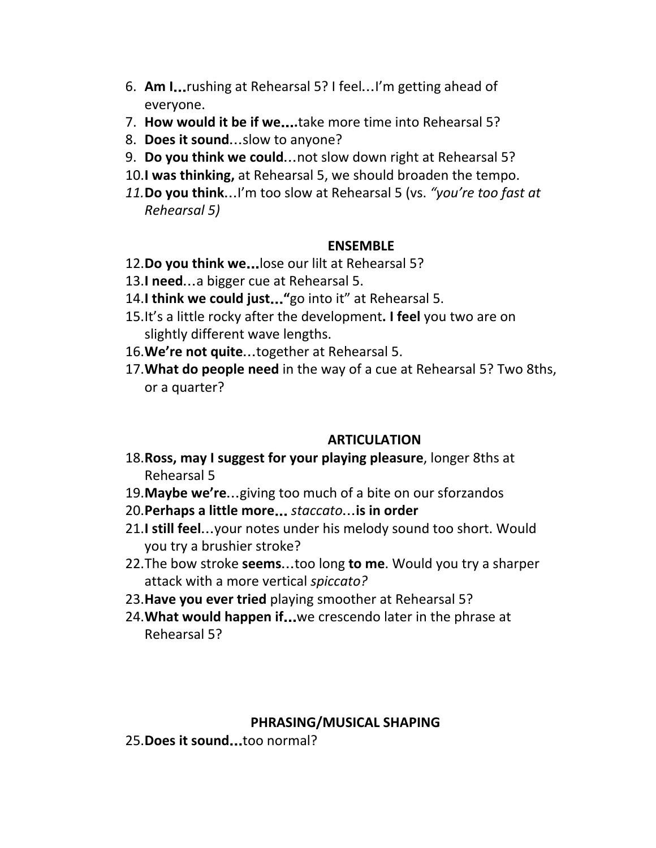- 6. **Am I**…rushing at Rehearsal 5? I feel…I'm getting ahead of everyone.
- 7. **How would it be if we**…**.**take more time into Rehearsal 5?
- 8. **Does it sound**…slow to anyone?
- 9. **Do you think we could**…not slow down right at Rehearsal 5?
- 10.**I was thinking,** at Rehearsal 5, we should broaden the tempo.
- *11.***Do you think**…I'm too slow at Rehearsal 5 (vs. *"you're too fast at Rehearsal 5)*

## **ENSEMBLE**

- 12.**Do you think we**…lose our lilt at Rehearsal 5?
- 13.**I need**…a bigger cue at Rehearsal 5.
- 14.**I think we could just**…**"**go into it" at Rehearsal 5.
- 15.It's a little rocky after the development**. I feel** you two are on slightly different wave lengths.
- 16.**We're not quite**…together at Rehearsal 5.
- 17.**What do people need** in the way of a cue at Rehearsal 5? Two 8ths, or a quarter?

## **ARTICULATION**

- 18.**Ross, may I suggest for your playing pleasure**, longer 8ths at Rehearsal 5
- 19.**Maybe we're**…giving too much of a bite on our sforzandos
- 20.**Perhaps a little more**… *staccato*…**is in order**
- 21.**I still feel**…your notes under his melody sound too short. Would you try a brushier stroke?
- 22.The bow stroke **seems**…too long **to me**. Would you try a sharper attack with a more vertical *spiccato?*
- 23.**Have you ever tried** playing smoother at Rehearsal 5?
- 24.**What would happen if**…we crescendo later in the phrase at Rehearsal 5?

## **PHRASING/MUSICAL SHAPING**

25.**Does it sound**…too normal?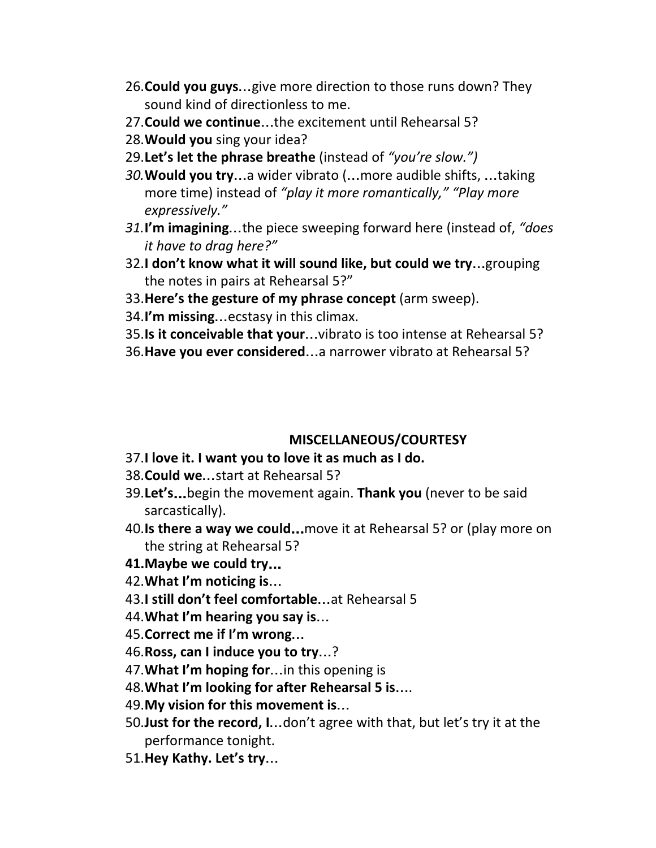- 26.**Could you guys**…give more direction to those runs down? They sound kind of directionless to me.
- 27.**Could we continue**…the excitement until Rehearsal 5?
- 28.**Would you** sing your idea?
- 29.**Let's let the phrase breathe** (instead of *"you're slow.")*
- *30.***Would you try**…a wider vibrato (…more audible shifts, …taking more time) instead of *"play it more romantically," "Play more expressively."*
- *31.***I'm imagining**…the piece sweeping forward here (instead of, *"does it have to drag here?"*
- 32.**I don't know what it will sound like, but could we try**…grouping the notes in pairs at Rehearsal 5?"
- 33.**Here's the gesture of my phrase concept** (arm sweep).
- 34.**I'm missing**…ecstasy in this climax.
- 35.**Is it conceivable that your**…vibrato is too intense at Rehearsal 5?
- 36.**Have you ever considered**…a narrower vibrato at Rehearsal 5?

#### **MISCELLANEOUS/COURTESY**

- 37.**I love it. I want you to love it as much as I do.**
- 38.**Could we**…start at Rehearsal 5?
- 39.**Let's**…begin the movement again. **Thank you** (never to be said sarcastically).
- 40.**Is there a way we could**…move it at Rehearsal 5? or (play more on the string at Rehearsal 5?

## **41.Maybe we could try**…

- 42.**What I'm noticing is**…
- 43.**I still don't feel comfortable**…at Rehearsal 5
- 44.**What I'm hearing you say is**…
- 45.**Correct me if I'm wrong**…
- 46.**Ross, can I induce you to try**…?
- 47.**What I'm hoping for**…in this opening is
- 48.**What I'm looking for after Rehearsal 5 is**… .
- 49.**My vision for this movement is**…
- 50.**Just for the record, I**…don't agree with that, but let's try it at the performance tonight.
- 51.**Hey Kathy. Let's try**…